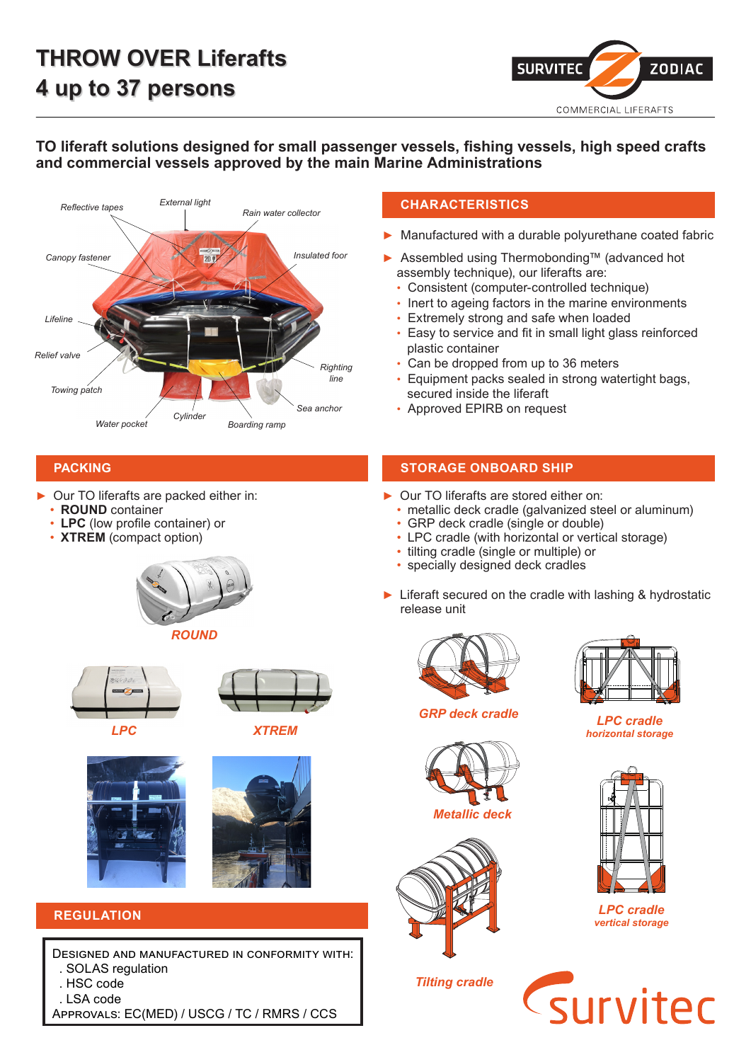

## **TO liferaft solutions designed for small passenger vessels, fishing vessels, high speed crafts and commercial vessels approved by the main Marine Administrations**



## **CHARACTERISTICS**

- ► Manufactured with a durable polyurethane coated fabric
- ► Assembled using Thermobonding™ (advanced hot assembly technique), our liferafts are:
	- Consistent (computer-controlled technique)
	- Inert to ageing factors in the marine environments
	- Extremely strong and safe when loaded
	- Easy to service and fit in small light glass reinforced plastic container
	- Can be dropped from up to 36 meters
	- Equipment packs sealed in strong watertight bags, secured inside the liferaft
	-

- Our TO liferafts are packed either in:
	- **ROUND** container
	- **LPC** (low profile container) or
	- **XTREM** (compact option)







*LPC XTREM*





# **REGULATION**

Designed and manufactured in conformity with: . SOLAS regulation

- . HSC code
- . LSA code

Approvals: EC(MED) / USCG / TC / RMRS / CCS

## **PACKING STORAGE ONBOARD SHIP**

- ► Our TO liferafts are stored either on:
	- metallic deck cradle (galvanized steel or aluminum)
	- GRP deck cradle (single or double)
	- LPC cradle (with horizontal or vertical storage)
	- tilting cradle (single or multiple) or
	- specially designed deck cradles
- ► Liferaft secured on the cradle with lashing & hydrostatic release unit



*GRP deck cradle*





*Tilting cradle*



*LPC cradle horizontal storage*



*LPC cradle vertical storage*